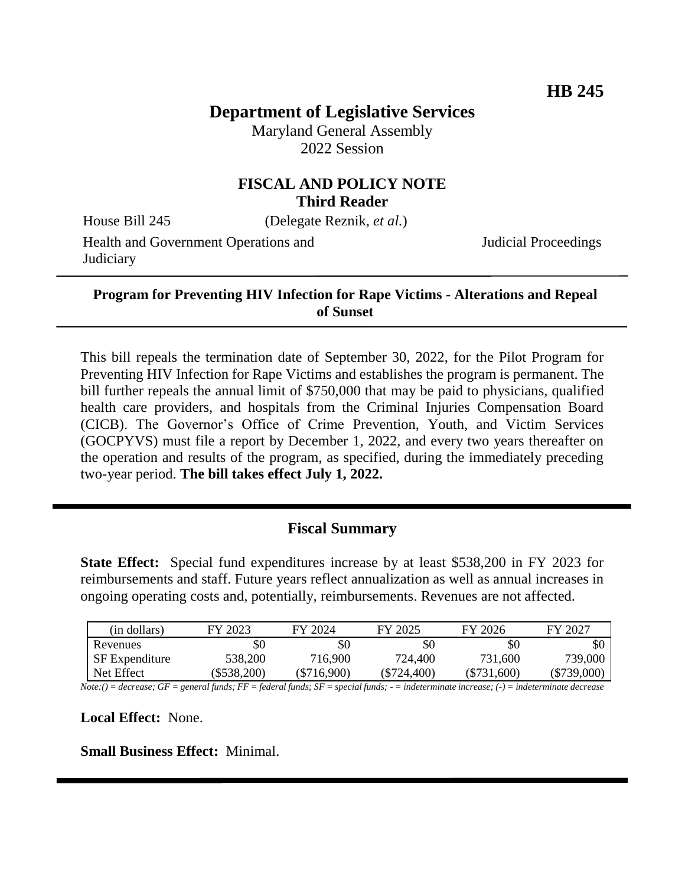## **Department of Legislative Services**

Maryland General Assembly 2022 Session

#### **FISCAL AND POLICY NOTE Third Reader**

House Bill 245 (Delegate Reznik, *et al.*)

Health and Government Operations and

Judicial Proceedings

# **Judiciary**

#### **Program for Preventing HIV Infection for Rape Victims - Alterations and Repeal of Sunset**

This bill repeals the termination date of September 30, 2022, for the Pilot Program for Preventing HIV Infection for Rape Victims and establishes the program is permanent. The bill further repeals the annual limit of \$750,000 that may be paid to physicians, qualified health care providers, and hospitals from the Criminal Injuries Compensation Board (CICB). The Governor's Office of Crime Prevention, Youth, and Victim Services (GOCPYVS) must file a report by December 1, 2022, and every two years thereafter on the operation and results of the program, as specified, during the immediately preceding two-year period. **The bill takes effect July 1, 2022.** 

## **Fiscal Summary**

**State Effect:** Special fund expenditures increase by at least \$538,200 in FY 2023 for reimbursements and staff. Future years reflect annualization as well as annual increases in ongoing operating costs and, potentially, reimbursements. Revenues are not affected.

| (in dollars)          | FY 2023   | FY 2024       | FY 2025     | FY 2026       | FY 2027     |
|-----------------------|-----------|---------------|-------------|---------------|-------------|
| Revenues              | \$0       | \$0           | \$0         | \$0           | \$0         |
| <b>SF</b> Expenditure | 538,200   | 716,900       | 724,400     | 731,600       | 739,000     |
| Net Effect            | \$538,200 | $(\$716,900)$ | (\$724,400) | $(\$731,600)$ | (\$739,000) |

*Note:() = decrease; GF = general funds; FF = federal funds; SF = special funds; - = indeterminate increase; (-) = indeterminate decrease*

**Local Effect:** None.

**Small Business Effect:** Minimal.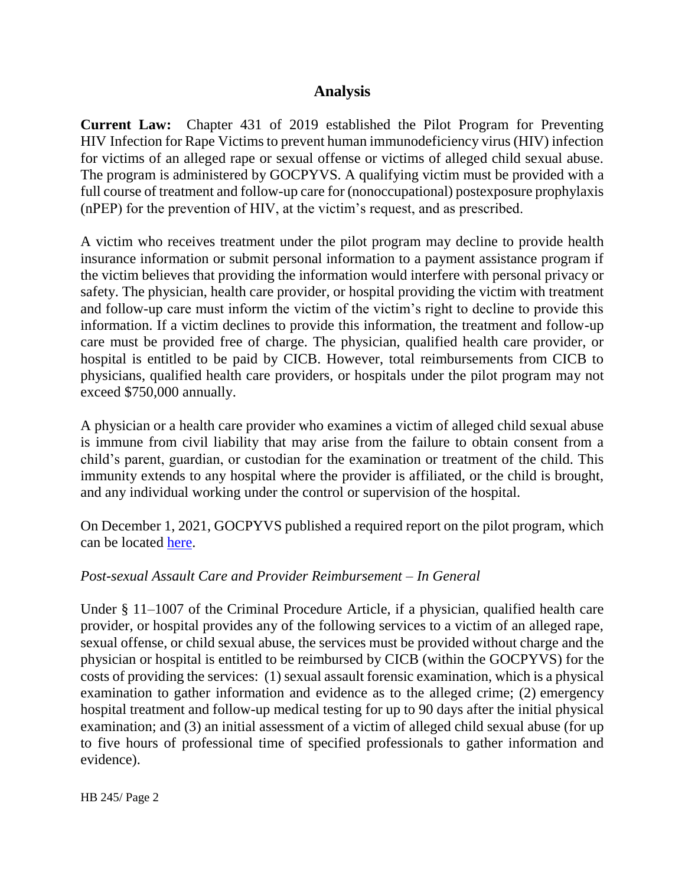## **Analysis**

**Current Law:** Chapter 431 of 2019 established the Pilot Program for Preventing HIV Infection for Rape Victims to prevent human immunodeficiency virus (HIV) infection for victims of an alleged rape or sexual offense or victims of alleged child sexual abuse. The program is administered by GOCPYVS. A qualifying victim must be provided with a full course of treatment and follow-up care for (nonoccupational) postexposure prophylaxis (nPEP) for the prevention of HIV, at the victim's request, and as prescribed.

A victim who receives treatment under the pilot program may decline to provide health insurance information or submit personal information to a payment assistance program if the victim believes that providing the information would interfere with personal privacy or safety. The physician, health care provider, or hospital providing the victim with treatment and follow-up care must inform the victim of the victim's right to decline to provide this information. If a victim declines to provide this information, the treatment and follow-up care must be provided free of charge. The physician, qualified health care provider, or hospital is entitled to be paid by CICB. However, total reimbursements from CICB to physicians, qualified health care providers, or hospitals under the pilot program may not exceed \$750,000 annually.

A physician or a health care provider who examines a victim of alleged child sexual abuse is immune from civil liability that may arise from the failure to obtain consent from a child's parent, guardian, or custodian for the examination or treatment of the child. This immunity extends to any hospital where the provider is affiliated, or the child is brought, and any individual working under the control or supervision of the hospital.

On December 1, 2021, GOCPYVS published a required report on the pilot program, which can be located [here.](http://dlslibrary.state.md.us/publications/Exec/GOCPYVS/CP11-1008(e)_2021.pdf)

#### *Post-sexual Assault Care and Provider Reimbursement – In General*

Under § 11–1007 of the Criminal Procedure Article, if a physician, qualified health care provider, or hospital provides any of the following services to a victim of an alleged rape, sexual offense, or child sexual abuse, the services must be provided without charge and the physician or hospital is entitled to be reimbursed by CICB (within the GOCPYVS) for the costs of providing the services: (1) sexual assault forensic examination, which is a physical examination to gather information and evidence as to the alleged crime; (2) emergency hospital treatment and follow-up medical testing for up to 90 days after the initial physical examination; and (3) an initial assessment of a victim of alleged child sexual abuse (for up to five hours of professional time of specified professionals to gather information and evidence).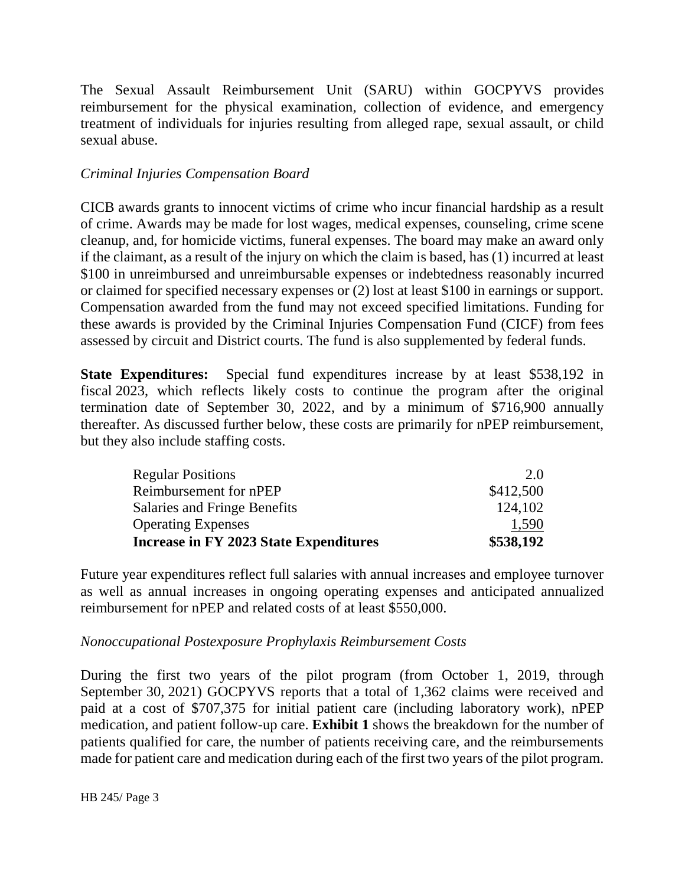The Sexual Assault Reimbursement Unit (SARU) within GOCPYVS provides reimbursement for the physical examination, collection of evidence, and emergency treatment of individuals for injuries resulting from alleged rape, sexual assault, or child sexual abuse.

#### *Criminal Injuries Compensation Board*

CICB awards grants to innocent victims of crime who incur financial hardship as a result of crime. Awards may be made for lost wages, medical expenses, counseling, crime scene cleanup, and, for homicide victims, funeral expenses. The board may make an award only if the claimant, as a result of the injury on which the claim is based, has (1) incurred at least \$100 in unreimbursed and unreimbursable expenses or indebtedness reasonably incurred or claimed for specified necessary expenses or (2) lost at least \$100 in earnings or support. Compensation awarded from the fund may not exceed specified limitations. Funding for these awards is provided by the Criminal Injuries Compensation Fund (CICF) from fees assessed by circuit and District courts. The fund is also supplemented by federal funds.

**State Expenditures:** Special fund expenditures increase by at least \$538,192 in fiscal 2023, which reflects likely costs to continue the program after the original termination date of September 30, 2022, and by a minimum of \$716,900 annually thereafter. As discussed further below, these costs are primarily for nPEP reimbursement, but they also include staffing costs.

| Increase in FY 2023 State Expenditures | \$538,192 |
|----------------------------------------|-----------|
| <b>Operating Expenses</b>              | 1,590     |
| Salaries and Fringe Benefits           | 124,102   |
| Reimbursement for nPEP                 | \$412,500 |
| <b>Regular Positions</b>               | 2.0       |

Future year expenditures reflect full salaries with annual increases and employee turnover as well as annual increases in ongoing operating expenses and anticipated annualized reimbursement for nPEP and related costs of at least \$550,000.

#### *Nonoccupational Postexposure Prophylaxis Reimbursement Costs*

During the first two years of the pilot program (from October 1, 2019, through September 30, 2021) GOCPYVS reports that a total of 1,362 claims were received and paid at a cost of \$707,375 for initial patient care (including laboratory work), nPEP medication, and patient follow-up care. **Exhibit 1** shows the breakdown for the number of patients qualified for care, the number of patients receiving care, and the reimbursements made for patient care and medication during each of the first two years of the pilot program.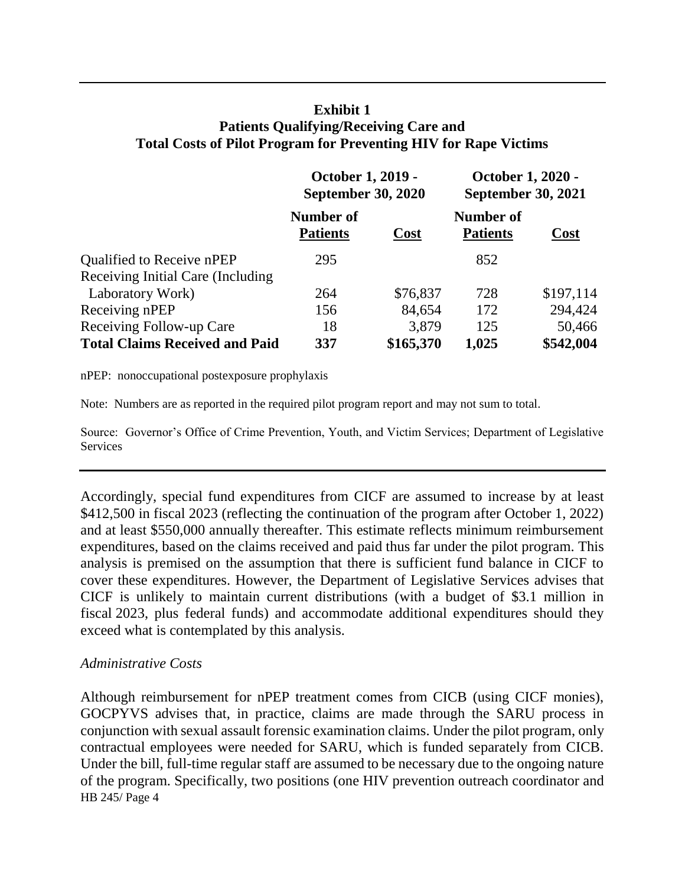### **Exhibit 1 Patients Qualifying/Receiving Care and Total Costs of Pilot Program for Preventing HIV for Rape Victims**

|                                       | October 1, 2019 -<br><b>September 30, 2020</b> |             | October 1, 2020 -<br><b>September 30, 2021</b> |           |
|---------------------------------------|------------------------------------------------|-------------|------------------------------------------------|-----------|
|                                       | Number of<br><b>Patients</b>                   | <b>Cost</b> | Number of<br><b>Patients</b>                   | Cost      |
| Qualified to Receive nPEP             | 295                                            |             | 852                                            |           |
| Receiving Initial Care (Including     |                                                |             |                                                |           |
| Laboratory Work)                      | 264                                            | \$76,837    | 728                                            | \$197,114 |
| Receiving nPEP                        | 156                                            | 84,654      | 172                                            | 294,424   |
| Receiving Follow-up Care              | 18                                             | 3,879       | 125                                            | 50,466    |
| <b>Total Claims Received and Paid</b> | 337                                            | \$165,370   | 1,025                                          | \$542,004 |

nPEP: nonoccupational postexposure prophylaxis

Note: Numbers are as reported in the required pilot program report and may not sum to total.

Source: Governor's Office of Crime Prevention, Youth, and Victim Services; Department of Legislative **Services** 

Accordingly, special fund expenditures from CICF are assumed to increase by at least \$412,500 in fiscal 2023 (reflecting the continuation of the program after October 1, 2022) and at least \$550,000 annually thereafter. This estimate reflects minimum reimbursement expenditures, based on the claims received and paid thus far under the pilot program. This analysis is premised on the assumption that there is sufficient fund balance in CICF to cover these expenditures. However, the Department of Legislative Services advises that CICF is unlikely to maintain current distributions (with a budget of \$3.1 million in fiscal 2023, plus federal funds) and accommodate additional expenditures should they exceed what is contemplated by this analysis.

#### *Administrative Costs*

HB 245/ Page 4 Although reimbursement for nPEP treatment comes from CICB (using CICF monies), GOCPYVS advises that, in practice, claims are made through the SARU process in conjunction with sexual assault forensic examination claims. Under the pilot program, only contractual employees were needed for SARU, which is funded separately from CICB. Under the bill, full-time regular staff are assumed to be necessary due to the ongoing nature of the program. Specifically, two positions (one HIV prevention outreach coordinator and